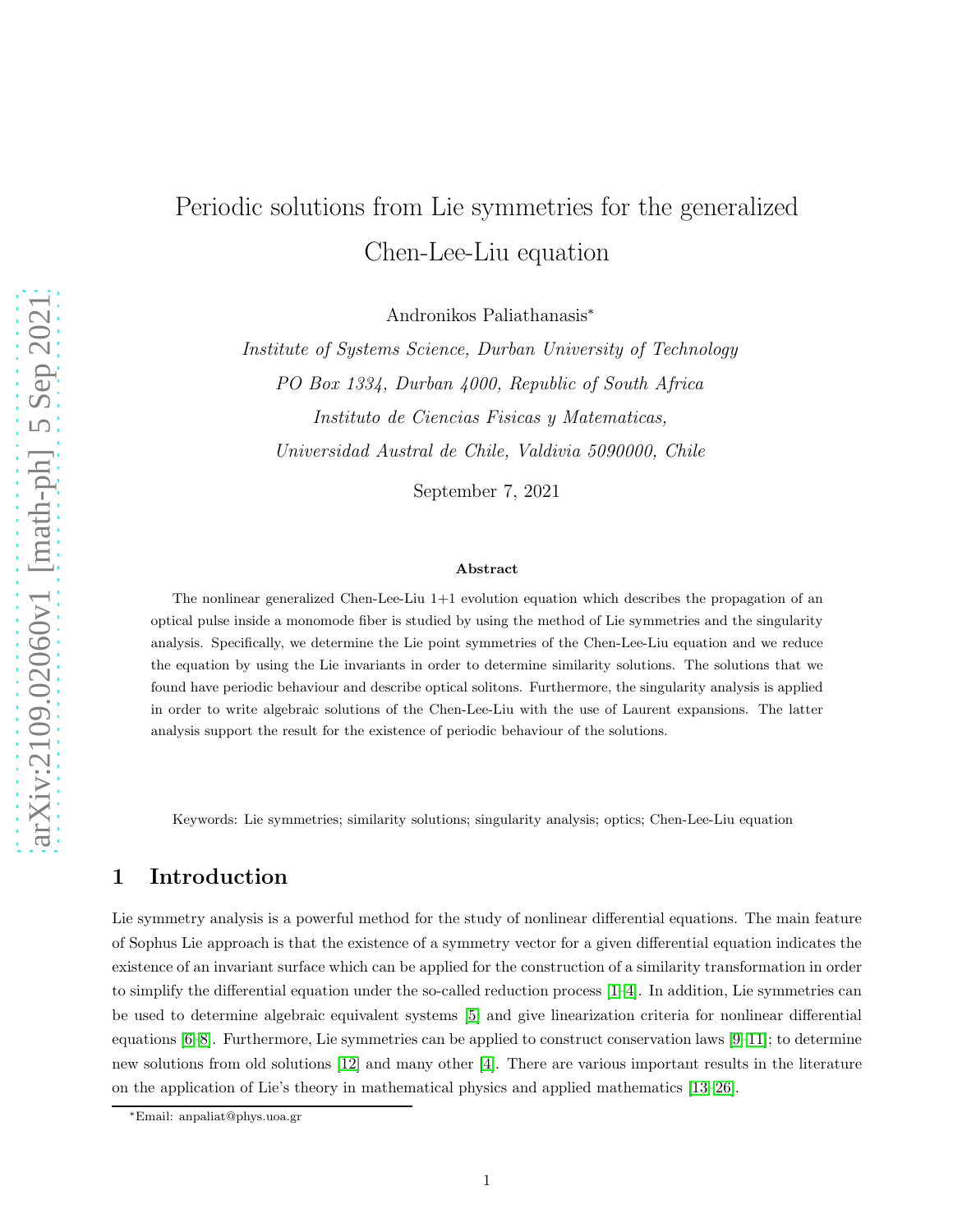# Periodic solutions from Lie symmetries for the generalized Chen-Lee-Liu equation

Andronikos Paliathanasis<sup>∗</sup>

Institute of Systems Science, Durban University of Technology PO Box 1334, Durban 4000, Republic of South Africa Instituto de Ciencias Fisicas y Matematicas, Universidad Austral de Chile, Valdivia 5090000, Chile

September 7, 2021

#### Abstract

The nonlinear generalized Chen-Lee-Liu 1+1 evolution equation which describes the propagation of an optical pulse inside a monomode fiber is studied by using the method of Lie symmetries and the singularity analysis. Specifically, we determine the Lie point symmetries of the Chen-Lee-Liu equation and we reduce the equation by using the Lie invariants in order to determine similarity solutions. The solutions that we found have periodic behaviour and describe optical solitons. Furthermore, the singularity analysis is applied in order to write algebraic solutions of the Chen-Lee-Liu with the use of Laurent expansions. The latter analysis support the result for the existence of periodic behaviour of the solutions.

Keywords: Lie symmetries; similarity solutions; singularity analysis; optics; Chen-Lee-Liu equation

# 1 Introduction

Lie symmetry analysis is a powerful method for the study of nonlinear differential equations. The main feature of Sophus Lie approach is that the existence of a symmetry vector for a given differential equation indicates the existence of an invariant surface which can be applied for the construction of a similarity transformation in order to simplify the differential equation under the so-called reduction process [\[1](#page-11-0)[–4\]](#page-11-1). In addition, Lie symmetries can be used to determine algebraic equivalent systems [\[5\]](#page-12-0) and give linearization criteria for nonlinear differential equations [\[6–](#page-12-1)[8\]](#page-12-2). Furthermore, Lie symmetries can be applied to construct conservation laws [\[9–](#page-12-3)[11\]](#page-12-4); to determine new solutions from old solutions [\[12\]](#page-12-5) and many other [\[4\]](#page-11-1). There are various important results in the literature on the application of Lie's theory in mathematical physics and applied mathematics [\[13–](#page-12-6)[26\]](#page-12-7).

<sup>∗</sup>Email: anpaliat@phys.uoa.gr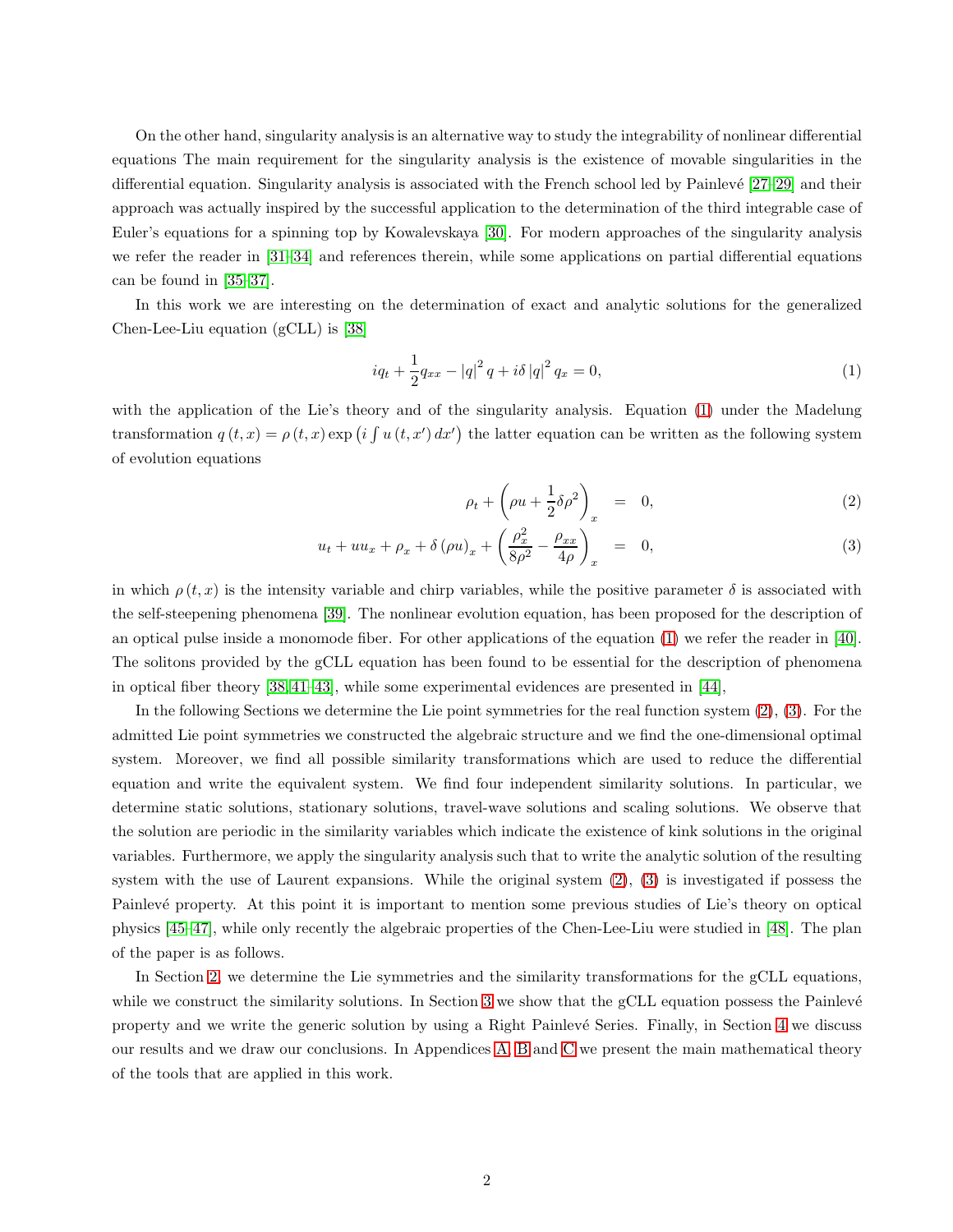On the other hand, singularity analysis is an alternative way to study the integrability of nonlinear differential equations The main requirement for the singularity analysis is the existence of movable singularities in the differential equation. Singularity analysis is associated with the French school led by Painlevé  $[27–29]$  $[27–29]$  and their approach was actually inspired by the successful application to the determination of the third integrable case of Euler's equations for a spinning top by Kowalevskaya [\[30\]](#page-12-10). For modern approaches of the singularity analysis we refer the reader in [\[31–](#page-12-11)[34\]](#page-13-0) and references therein, while some applications on partial differential equations can be found in [\[35](#page-13-1)[–37\]](#page-13-2).

In this work we are interesting on the determination of exact and analytic solutions for the generalized Chen-Lee-Liu equation (gCLL) is [\[38\]](#page-13-3)

<span id="page-1-0"></span>
$$
iq_{t} + \frac{1}{2}q_{xx} - |q|^{2} q + i\delta |q|^{2} q_{x} = 0,
$$
\n(1)

with the application of the Lie's theory and of the singularity analysis. Equation [\(1\)](#page-1-0) under the Madelung transformation  $q(t, x) = \rho(t, x) \exp(i \int u(t, x') dx')$  the latter equation can be written as the following system of evolution equations

<span id="page-1-1"></span>
$$
\rho_t + \left(\rho u + \frac{1}{2}\delta\rho^2\right)_x = 0, \tag{2}
$$

$$
u_t + uu_x + \rho_x + \delta \left(\rho u\right)_x + \left(\frac{\rho_x^2}{8\rho^2} - \frac{\rho_{xx}}{4\rho}\right)_x = 0, \tag{3}
$$

in which  $\rho(t, x)$  is the intensity variable and chirp variables, while the positive parameter  $\delta$  is associated with the self-steepening phenomena [\[39\]](#page-13-4). The nonlinear evolution equation, has been proposed for the description of an optical pulse inside a monomode fiber. For other applications of the equation [\(1\)](#page-1-0) we refer the reader in [\[40\]](#page-13-5). The solitons provided by the gCLL equation has been found to be essential for the description of phenomena in optical fiber theory [\[38,](#page-13-3) [41](#page-13-6)[–43\]](#page-13-7), while some experimental evidences are presented in [\[44\]](#page-13-8),

In the following Sections we determine the Lie point symmetries for the real function system [\(2\)](#page-1-1), [\(3\)](#page-1-1). For the admitted Lie point symmetries we constructed the algebraic structure and we find the one-dimensional optimal system. Moreover, we find all possible similarity transformations which are used to reduce the differential equation and write the equivalent system. We find four independent similarity solutions. In particular, we determine static solutions, stationary solutions, travel-wave solutions and scaling solutions. We observe that the solution are periodic in the similarity variables which indicate the existence of kink solutions in the original variables. Furthermore, we apply the singularity analysis such that to write the analytic solution of the resulting system with the use of Laurent expansions. While the original system [\(2\)](#page-1-1), [\(3\)](#page-1-1) is investigated if possess the Painlevé property. At this point it is important to mention some previous studies of Lie's theory on optical physics [\[45–](#page-13-9)[47\]](#page-13-10), while only recently the algebraic properties of the Chen-Lee-Liu were studied in [\[48\]](#page-13-11). The plan of the paper is as follows.

In Section [2,](#page-2-0) we determine the Lie symmetries and the similarity transformations for the gCLL equations, while we construct the similarity solutions. In Section [3](#page-8-0) we show that the gCLL equation possess the Painlevé property and we write the generic solution by using a Right Painlev´e Series. Finally, in Section [4](#page-8-1) we discuss our results and we draw our conclusions. In Appendices [A,](#page-10-0) [B](#page-11-2) and [C](#page-11-3) we present the main mathematical theory of the tools that are applied in this work.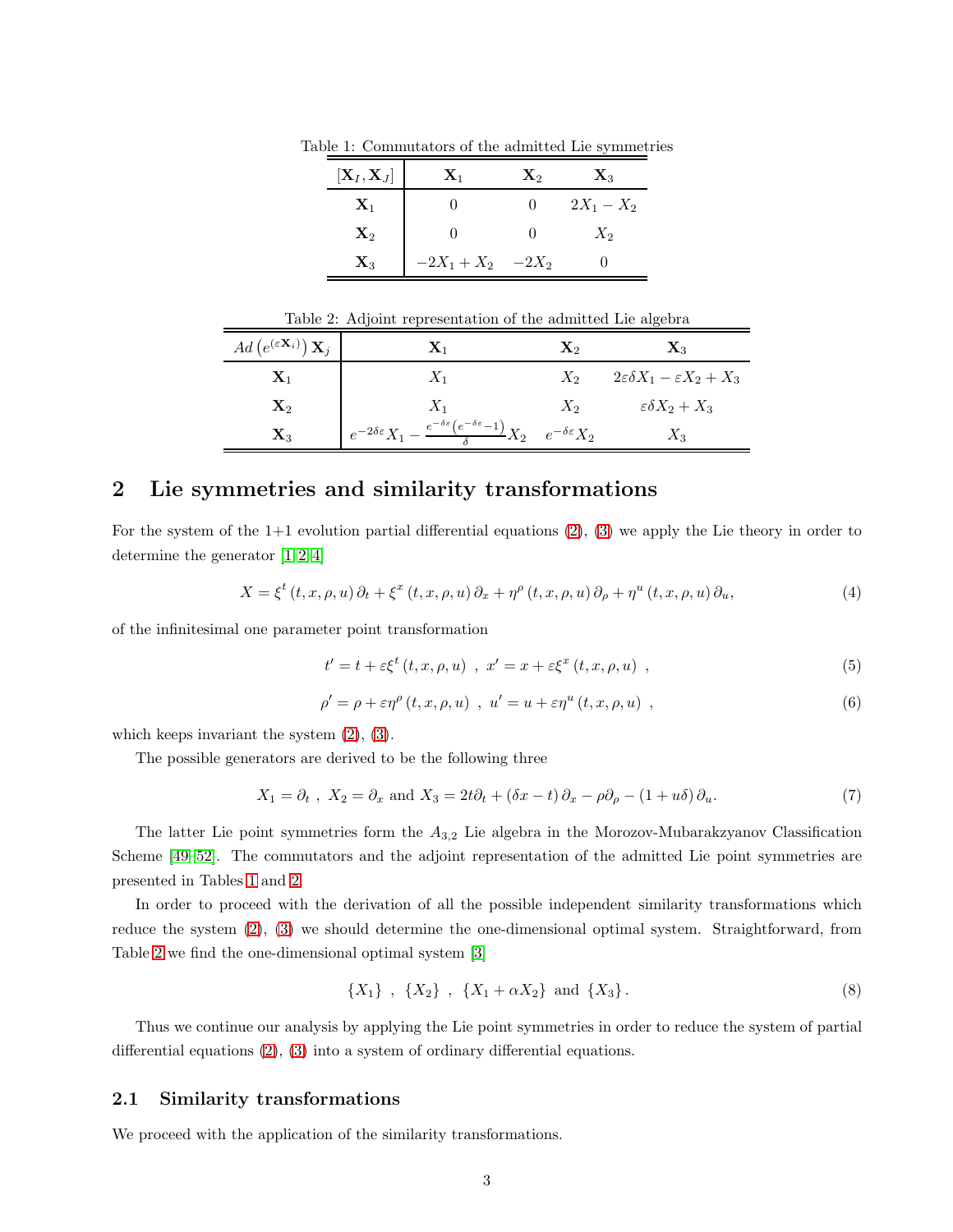<span id="page-2-1"></span>

| $\left[ {{\bf{X}}_I,{\bf{X}}_J} \right]$ | $\mathbf{X}_1$      | $\mathbf{X}_2$ | $\mathbf{X}_3$ |
|------------------------------------------|---------------------|----------------|----------------|
| $\mathbf{X}_1$                           |                     | $^{(1)}$       | $2X_1 - X_2$   |
| $\mathbf{X}_2$                           |                     |                | $X_2$          |
| $\mathbf{X}_3$                           | $-2X_1+X_2$ $-2X_2$ |                |                |

Table 1: Commutators of the admitted Lie symmetries

<span id="page-2-2"></span>

| Table 2: Adjoint representation of the admitted Lie algebra |                                                                                                                                             |                |                                                   |  |
|-------------------------------------------------------------|---------------------------------------------------------------------------------------------------------------------------------------------|----------------|---------------------------------------------------|--|
| $Ad\left(e^{(\varepsilon {\bf X}_i)}\right) {\bf X}_i$      | $\mathbf{X}_1$                                                                                                                              | $\mathbf{X}_2$ | $\mathbf{X}_3$                                    |  |
| $\mathbf{X}_1$                                              | $X_1$                                                                                                                                       | $X_2$          | $2\varepsilon \delta X_1 - \varepsilon X_2 + X_3$ |  |
| $\mathbf{X}_2$                                              | $X_1$                                                                                                                                       | $X_2$          | $\varepsilon \delta X_2 + X_3$                    |  |
| $\mathbf{X}_3$                                              | $e^{-2\delta \varepsilon} X_1 - \frac{e^{-\delta \varepsilon} (e^{-\delta \varepsilon} - 1)}{\delta} X_2 \quad e^{-\delta \varepsilon} X_2$ |                | $X_3$                                             |  |

## <span id="page-2-0"></span>2 Lie symmetries and similarity transformations

For the system of the 1+1 evolution partial differential equations [\(2\)](#page-1-1), [\(3\)](#page-1-1) we apply the Lie theory in order to determine the generator [\[1,](#page-11-0) [2,](#page-11-4) [4\]](#page-11-1)

$$
X = \xi^{t} (t, x, \rho, u) \partial_{t} + \xi^{x} (t, x, \rho, u) \partial_{x} + \eta^{\rho} (t, x, \rho, u) \partial_{\rho} + \eta^{u} (t, x, \rho, u) \partial_{u}, \tag{4}
$$

of the infinitesimal one parameter point transformation

$$
t' = t + \varepsilon \xi^{t} (t, x, \rho, u) , x' = x + \varepsilon \xi^{x} (t, x, \rho, u) , \qquad (5)
$$

$$
\rho' = \rho + \varepsilon \eta^{\rho} (t, x, \rho, u) , u' = u + \varepsilon \eta^{u} (t, x, \rho, u) ,
$$
\n(6)

which keeps invariant the system [\(2\)](#page-1-1), [\(3\)](#page-1-1).

The possible generators are derived to be the following three

$$
X_1 = \partial_t, \ X_2 = \partial_x \text{ and } X_3 = 2t\partial_t + (\delta x - t)\partial_x - \rho\partial_\rho - (1 + u\delta)\partial_u.
$$
 (7)

The latter Lie point symmetries form the  $A_{3,2}$  Lie algebra in the Morozov-Mubarakzyanov Classification Scheme [\[49](#page-13-12)[–52\]](#page-13-13). The commutators and the adjoint representation of the admitted Lie point symmetries are presented in Tables [1](#page-2-1) and [2.](#page-2-2)

In order to proceed with the derivation of all the possible independent similarity transformations which reduce the system [\(2\)](#page-1-1), [\(3\)](#page-1-1) we should determine the one-dimensional optimal system. Straightforward, from Table [2](#page-2-2) we find the one-dimensional optimal system [\[3\]](#page-11-5)

$$
\{X_1\}, \ \{X_2\}, \ \{X_1 + \alpha X_2\} \ \text{and} \ \{X_3\} \,. \tag{8}
$$

Thus we continue our analysis by applying the Lie point symmetries in order to reduce the system of partial differential equations [\(2\)](#page-1-1), [\(3\)](#page-1-1) into a system of ordinary differential equations.

### 2.1 Similarity transformations

We proceed with the application of the similarity transformations.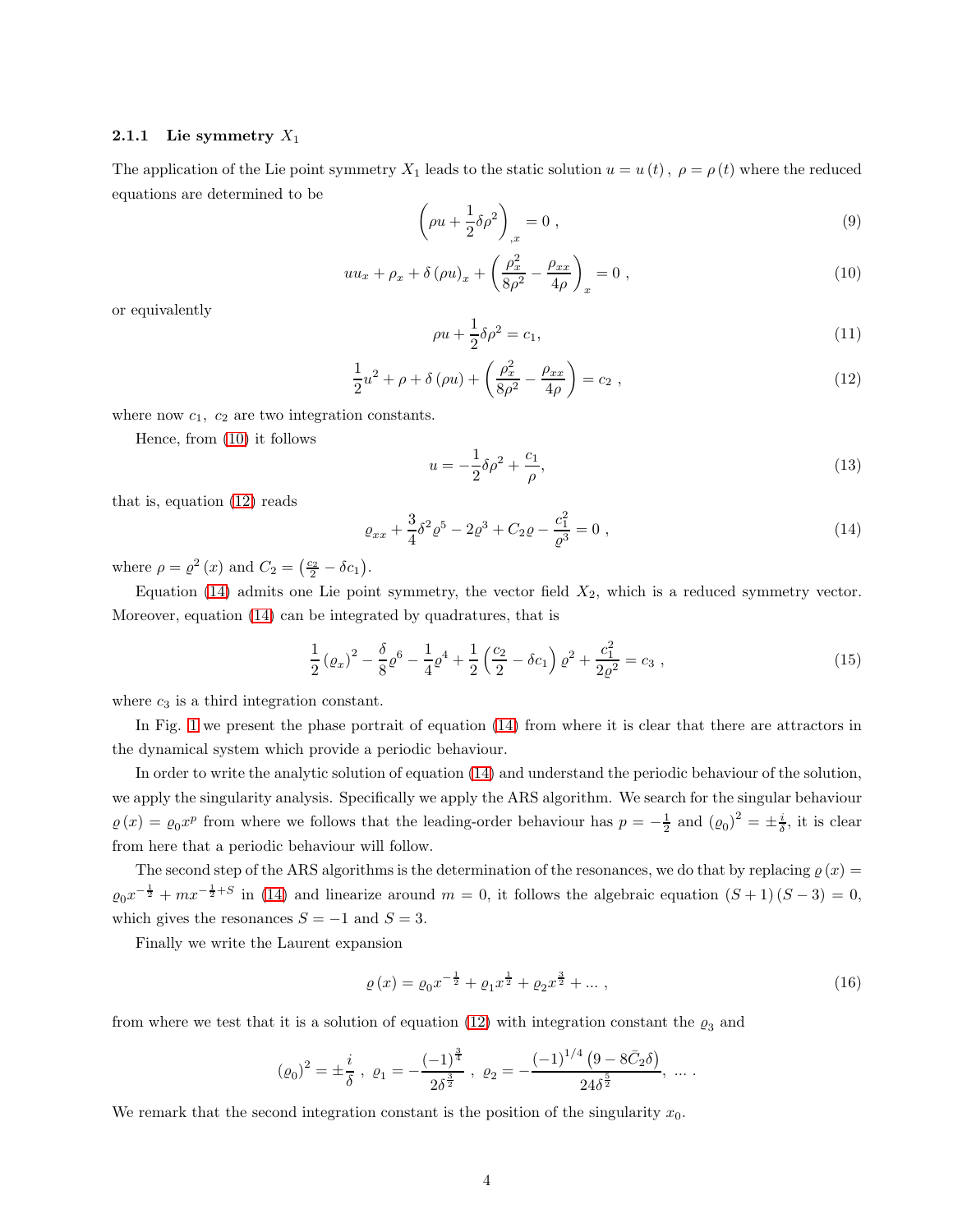#### 2.1.1 Lie symmetry  $X_1$

The application of the Lie point symmetry  $X_1$  leads to the static solution  $u = u(t)$ ,  $\rho = \rho(t)$  where the reduced equations are determined to be

$$
\left(\rho u + \frac{1}{2}\delta\rho^2\right)_{,x} = 0\tag{9}
$$

<span id="page-3-0"></span>
$$
uu_x + \rho_x + \delta(\rho u)_x + \left(\frac{\rho_x^2}{8\rho^2} - \frac{\rho_{xx}}{4\rho}\right)_x = 0,
$$
\n(10)

or equivalently

$$
\rho u + \frac{1}{2}\delta \rho^2 = c_1,\tag{11}
$$

<span id="page-3-1"></span>
$$
\frac{1}{2}u^2 + \rho + \delta(\rho u) + \left(\frac{\rho_x^2}{8\rho^2} - \frac{\rho_{xx}}{4\rho}\right) = c_2 ,
$$
\n(12)

where now  $c_1$ ,  $c_2$  are two integration constants.

Hence, from [\(10\)](#page-3-0) it follows

$$
u = -\frac{1}{2}\delta\rho^2 + \frac{c_1}{\rho},
$$
\n(13)

that is, equation [\(12\)](#page-3-1) reads

<span id="page-3-2"></span>
$$
\varrho_{xx} + \frac{3}{4}\delta^2 \varrho^5 - 2\varrho^3 + C_2 \varrho - \frac{c_1^2}{\varrho^3} = 0 , \qquad (14)
$$

where  $\rho = \rho^2(x)$  and  $C_2 = \left(\frac{c_2}{2} - \delta c_1\right)$ .

Equation [\(14\)](#page-3-2) admits one Lie point symmetry, the vector field  $X_2$ , which is a reduced symmetry vector. Moreover, equation [\(14\)](#page-3-2) can be integrated by quadratures, that is

$$
\frac{1}{2} \left(\varrho_x\right)^2 - \frac{\delta}{8} \varrho^6 - \frac{1}{4} \varrho^4 + \frac{1}{2} \left(\frac{c_2}{2} - \delta c_1\right) \varrho^2 + \frac{c_1^2}{2\varrho^2} = c_3 \;, \tag{15}
$$

where  $c_3$  is a third integration constant.

In Fig. [1](#page-4-0) we present the phase portrait of equation [\(14\)](#page-3-2) from where it is clear that there are attractors in the dynamical system which provide a periodic behaviour.

In order to write the analytic solution of equation [\(14\)](#page-3-2) and understand the periodic behaviour of the solution, we apply the singularity analysis. Specifically we apply the ARS algorithm. We search for the singular behaviour  $\varrho(x) = \varrho_0 x^p$  from where we follows that the leading-order behaviour has  $p = -\frac{1}{2}$  and  $(\varrho_0)^2 = \pm \frac{i}{\delta}$ , it is clear from here that a periodic behaviour will follow.

The second step of the ARS algorithms is the determination of the resonances, we do that by replacing  $\varrho(x)$  =  $\varrho_0 x^{-\frac{1}{2}} + mx^{-\frac{1}{2}+S}$  in [\(14\)](#page-3-2) and linearize around  $m = 0$ , it follows the algebraic equation  $(S + 1)(S - 3) = 0$ , which gives the resonances  $S = -1$  and  $S = 3$ .

Finally we write the Laurent expansion

$$
\varrho(x) = \varrho_0 x^{-\frac{1}{2}} + \varrho_1 x^{\frac{1}{2}} + \varrho_2 x^{\frac{3}{2}} + \dots \,, \tag{16}
$$

from where we test that it is a solution of equation [\(12\)](#page-3-1) with integration constant the  $\varrho_3$  and

$$
\left(\varrho_{0}\right)^{2} = \pm \frac{i}{\delta} \; , \; \varrho_{1} = -\frac{\left(-1\right)^{\frac{3}{4}}}{2\delta^{\frac{3}{2}}} \; , \; \varrho_{2} = -\frac{\left(-1\right)^{1/4}\left(9 - 8\bar{C}_{2}\delta\right)}{24\delta^{\frac{5}{2}}}, \; \ldots \; .
$$

We remark that the second integration constant is the position of the singularity  $x_0$ .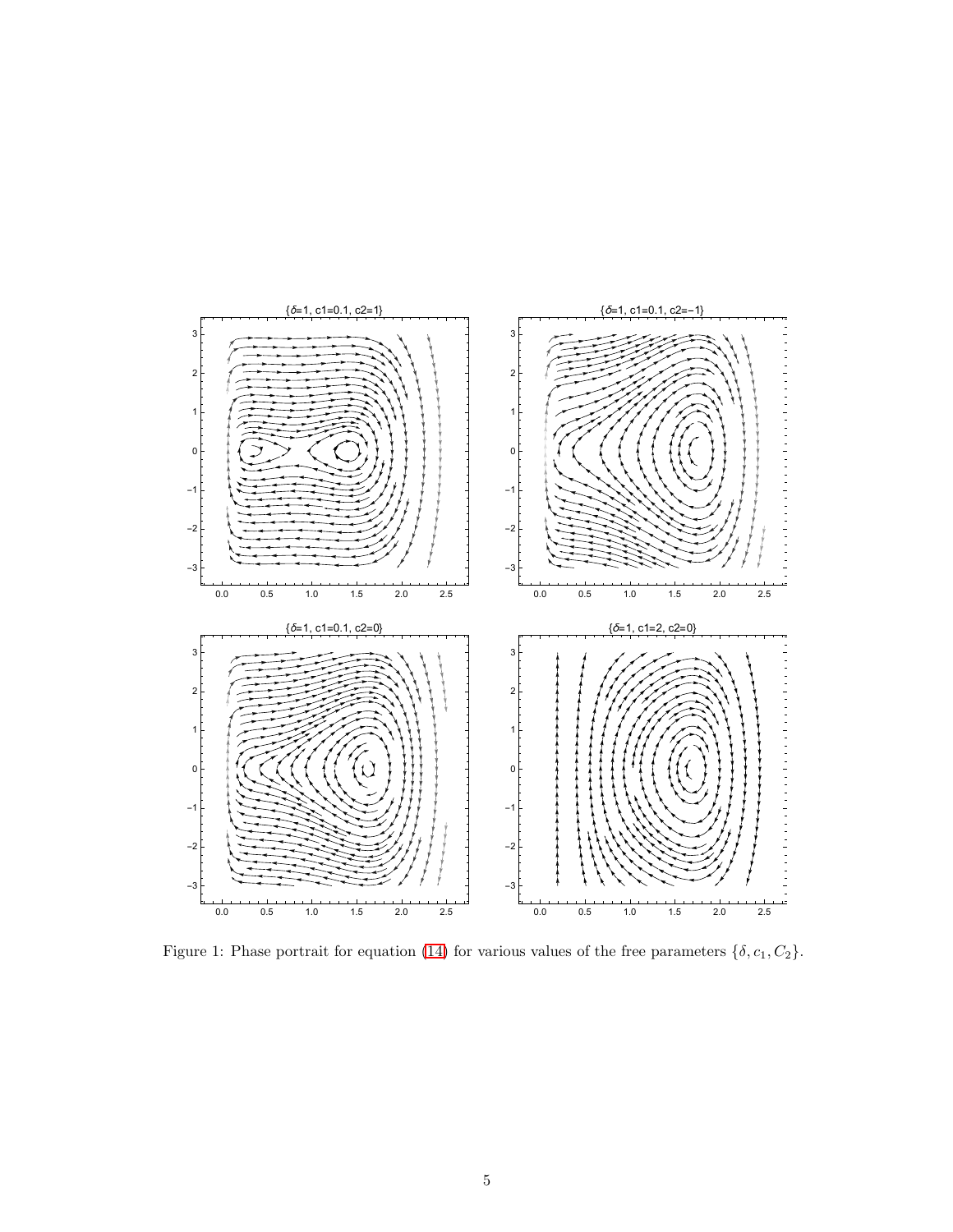

<span id="page-4-0"></span>Figure 1: Phase portrait for equation [\(14\)](#page-3-2) for various values of the free parameters  $\{\delta, c_1, C_2\}$ .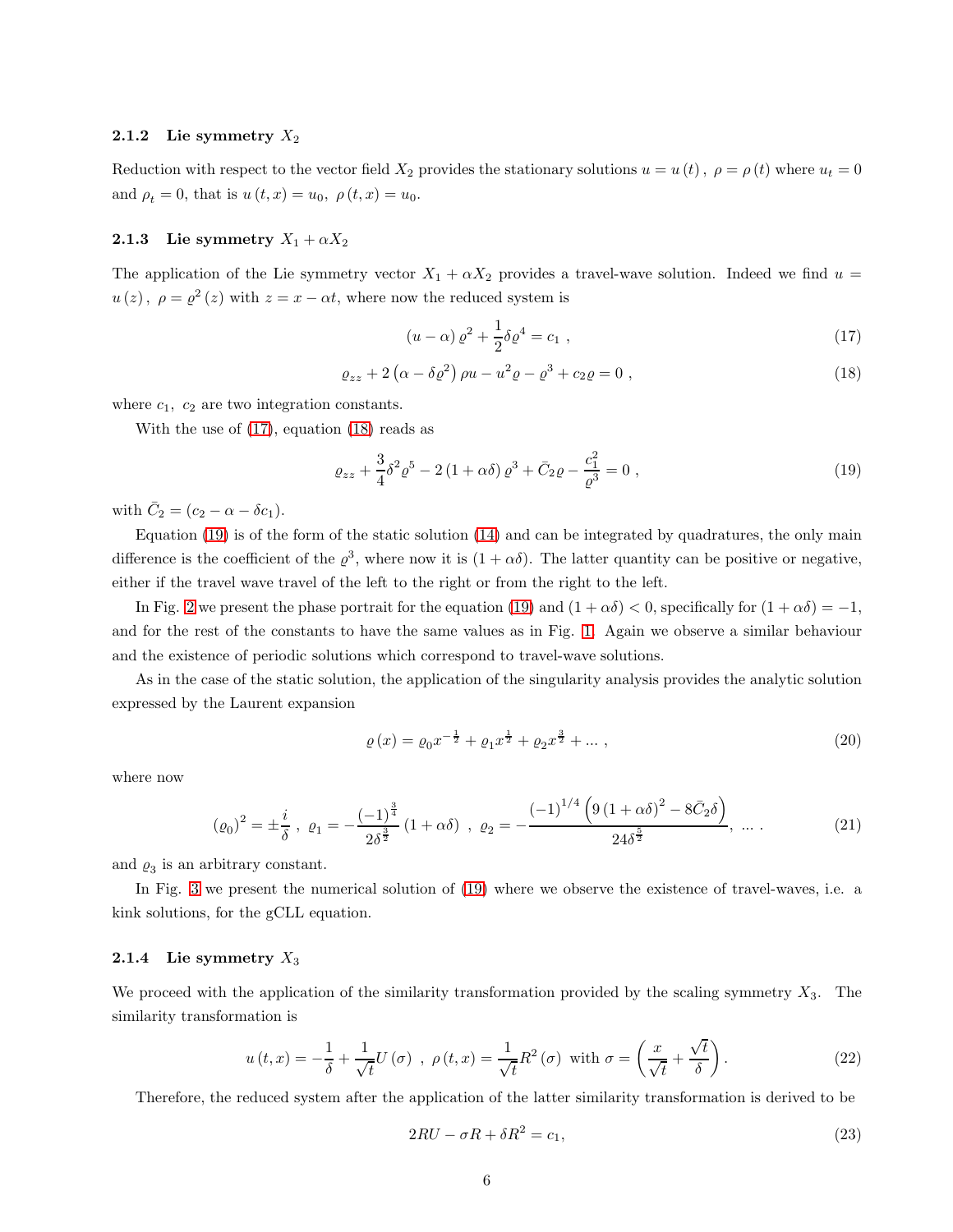#### 2.1.2 Lie symmetry  $X_2$

Reduction with respect to the vector field  $X_2$  provides the stationary solutions  $u = u(t)$ ,  $\rho = \rho(t)$  where  $u_t = 0$ and  $\rho_t = 0$ , that is  $u(t, x) = u_0$ ,  $\rho(t, x) = u_0$ .

#### 2.1.3 Lie symmetry  $X_1 + \alpha X_2$

The application of the Lie symmetry vector  $X_1 + \alpha X_2$  provides a travel-wave solution. Indeed we find  $u =$  $u(z)$ ,  $\rho = \varrho^2(z)$  with  $z = x - \alpha t$ , where now the reduced system is

<span id="page-5-0"></span>
$$
(u - \alpha) \varrho^2 + \frac{1}{2} \delta \varrho^4 = c_1 , \qquad (17)
$$

<span id="page-5-1"></span>
$$
\varrho_{zz} + 2\left(\alpha - \delta\varrho^2\right)\rho u - u^2\varrho - \varrho^3 + c_2\varrho = 0\;, \tag{18}
$$

where  $c_1$ ,  $c_2$  are two integration constants.

With the use of [\(17\)](#page-5-0), equation [\(18\)](#page-5-1) reads as

<span id="page-5-2"></span>
$$
\varrho_{zz} + \frac{3}{4}\delta^2 \varrho^5 - 2(1+\alpha\delta)\varrho^3 + \bar{C}_2\varrho - \frac{c_1^2}{\varrho^3} = 0 , \qquad (19)
$$

with  $\bar{C}_2 = (c_2 - \alpha - \delta c_1).$ 

Equation [\(19\)](#page-5-2) is of the form of the static solution [\(14\)](#page-3-2) and can be integrated by quadratures, the only main difference is the coefficient of the  $\varrho^3$ , where now it is  $(1+\alpha\delta)$ . The latter quantity can be positive or negative, either if the travel wave travel of the left to the right or from the right to the left.

In Fig. [2](#page-6-0) we present the phase portrait for the equation [\(19\)](#page-5-2) and  $(1 + \alpha \delta) < 0$ , specifically for  $(1 + \alpha \delta) = -1$ , and for the rest of the constants to have the same values as in Fig. [1.](#page-4-0) Again we observe a similar behaviour and the existence of periodic solutions which correspond to travel-wave solutions.

As in the case of the static solution, the application of the singularity analysis provides the analytic solution expressed by the Laurent expansion

$$
\varrho(x) = \varrho_0 x^{-\frac{1}{2}} + \varrho_1 x^{\frac{1}{2}} + \varrho_2 x^{\frac{3}{2}} + \dots \,, \tag{20}
$$

where now

$$
(\varrho_0)^2 = \pm \frac{i}{\delta} , \ \varrho_1 = -\frac{(-1)^{\frac{3}{4}}}{2\delta^{\frac{3}{2}}} (1 + \alpha \delta) , \ \varrho_2 = -\frac{(-1)^{1/4} \left(9 \left(1 + \alpha \delta\right)^2 - 8 \bar{C}_2 \delta\right)}{24\delta^{\frac{5}{2}}}, \ \dots \tag{21}
$$

and  $\varrho_3$  is an arbitrary constant.

In Fig. [3](#page-7-0) we present the numerical solution of [\(19\)](#page-5-2) where we observe the existence of travel-waves, i.e. a kink solutions, for the gCLL equation.

## 2.1.4 Lie symmetry  $X_3$

We proceed with the application of the similarity transformation provided by the scaling symmetry  $X_3$ . The similarity transformation is

$$
u(t,x) = -\frac{1}{\delta} + \frac{1}{\sqrt{t}}U(\sigma) , \ \rho(t,x) = \frac{1}{\sqrt{t}}R^2(\sigma) \text{ with } \sigma = \left(\frac{x}{\sqrt{t}} + \frac{\sqrt{t}}{\delta}\right). \tag{22}
$$

Therefore, the reduced system after the application of the latter similarity transformation is derived to be

$$
2RU - \sigma R + \delta R^2 = c_1,\tag{23}
$$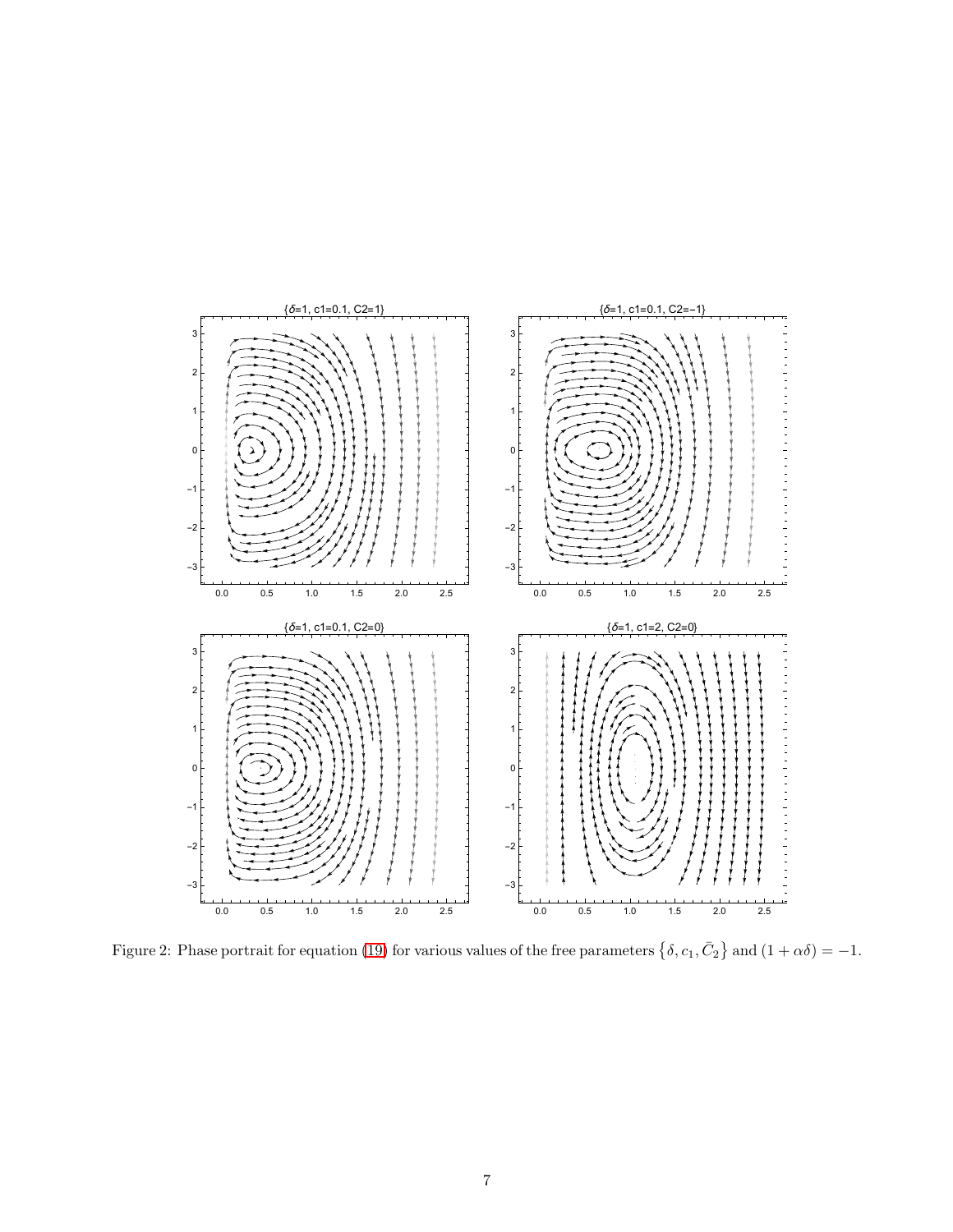

<span id="page-6-0"></span>Figure 2: Phase portrait for equation [\(19\)](#page-5-2) for various values of the free parameters  $\{\delta, c_1, \bar{C}_2\}$  and  $(1 + \alpha \delta) = -1$ .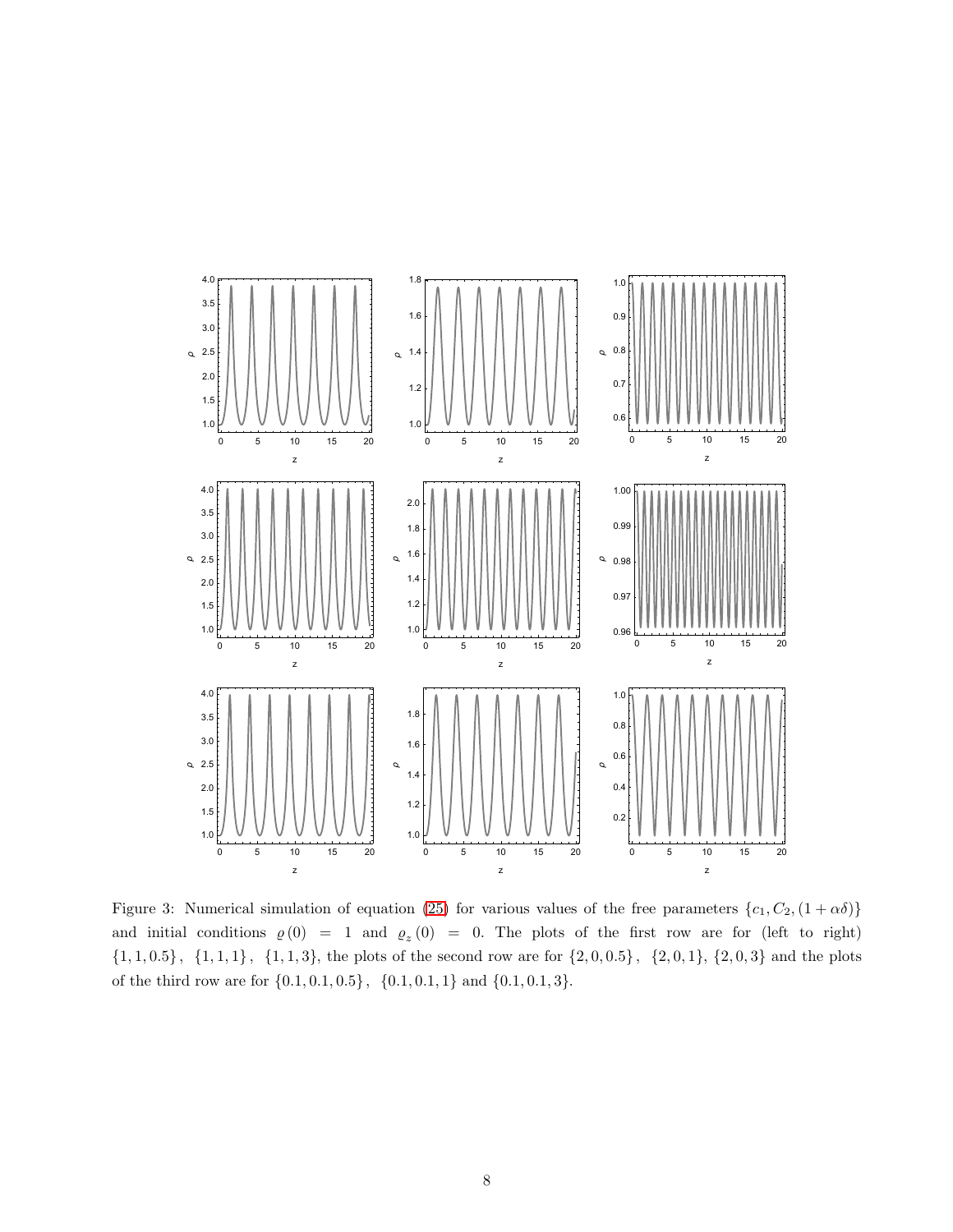

<span id="page-7-0"></span>Figure 3: Numerical simulation of equation [\(25\)](#page-8-2) for various values of the free parameters  $\{c_1, C_2, (1 + \alpha \delta)\}$ and initial conditions  $\rho(0) = 1$  and  $\rho_z(0) = 0$ . The plots of the first row are for (left to right)  ${1, 1, 0.5}$ ,  ${1, 1, 1}$ ,  ${1, 1, 3}$ , the plots of the second row are for  ${2, 0, 0.5}$ ,  ${2, 0, 1}$ ,  ${2, 0, 3}$  and the plots of the third row are for  $\{0.1, 0.1, 0.5\}$ ,  $\{0.1, 0.1, 1\}$  and  $\{0.1, 0.1, 3\}$ .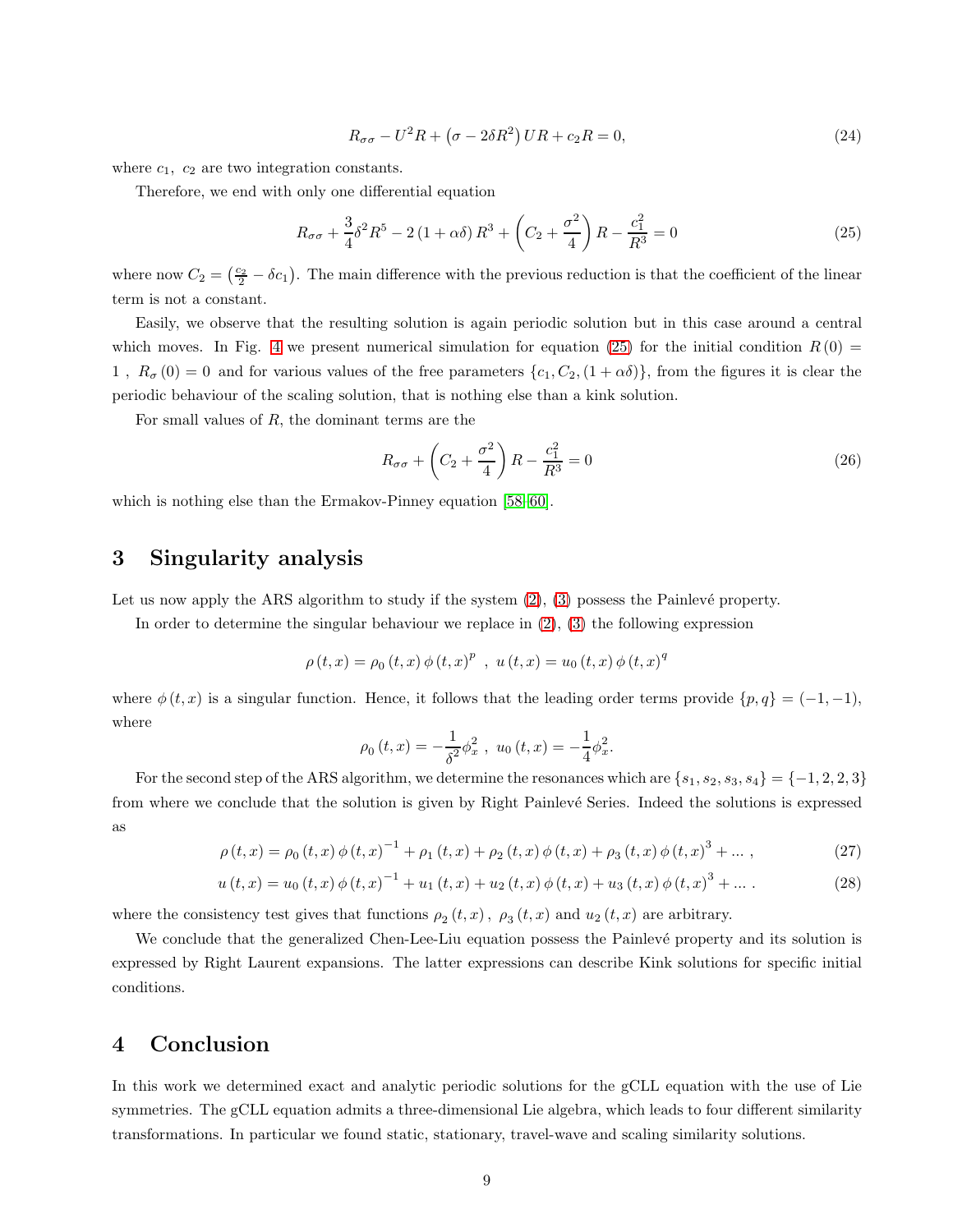$$
R_{\sigma\sigma} - U^2 R + \left(\sigma - 2\delta R^2\right) U R + c_2 R = 0,\tag{24}
$$

where  $c_1$ ,  $c_2$  are two integration constants.

Therefore, we end with only one differential equation

<span id="page-8-2"></span>
$$
R_{\sigma\sigma} + \frac{3}{4}\delta^2 R^5 - 2(1+\alpha\delta)R^3 + \left(C_2 + \frac{\sigma^2}{4}\right)R - \frac{c_1^2}{R^3} = 0\tag{25}
$$

where now  $C_2 = \left(\frac{c_2}{2} - \delta c_1\right)$ . The main difference with the previous reduction is that the coefficient of the linear term is not a constant.

Easily, we observe that the resulting solution is again periodic solution but in this case around a central which moves. In Fig. [4](#page-9-0) we present numerical simulation for equation [\(25\)](#page-8-2) for the initial condition  $R(0)$  = 1,  $R_{\sigma}(0) = 0$  and for various values of the free parameters  $\{c_1, C_2, (1 + \alpha \delta)\}\$ , from the figures it is clear the periodic behaviour of the scaling solution, that is nothing else than a kink solution.

For small values of  $R$ , the dominant terms are the

$$
R_{\sigma\sigma} + \left(C_2 + \frac{\sigma^2}{4}\right)R - \frac{c_1^2}{R^3} = 0\tag{26}
$$

<span id="page-8-0"></span>which is nothing else than the Ermakov-Pinney equation [\[58–](#page-13-14)[60\]](#page-14-0).

# 3 Singularity analysis

Let us now apply the ARS algorithm to study if the system  $(2)$ ,  $(3)$  possess the Painlevé property.

In order to determine the singular behaviour we replace in  $(2)$ ,  $(3)$  the following expression

$$
\rho(t,x) = \rho_0(t,x) \phi(t,x)^p , u(t,x) = u_0(t,x) \phi(t,x)^q
$$

where  $\phi(t, x)$  is a singular function. Hence, it follows that the leading order terms provide  $\{p, q\} = (-1, -1)$ , where

$$
\rho_0(t,x) = -\frac{1}{\delta^2} \phi_x^2 \ , \ u_0(t,x) = -\frac{1}{4} \phi_x^2.
$$

For the second step of the ARS algorithm, we determine the resonances which are  $\{s_1, s_2, s_3, s_4\} = \{-1, 2, 2, 3\}$ from where we conclude that the solution is given by Right Painlevé Series. Indeed the solutions is expressed as

$$
\rho(t,x) = \rho_0(t,x) \phi(t,x)^{-1} + \rho_1(t,x) + \rho_2(t,x) \phi(t,x) + \rho_3(t,x) \phi(t,x)^3 + \dots,
$$
\n(27)

$$
u(t,x) = u_0(t,x) \phi(t,x)^{-1} + u_1(t,x) + u_2(t,x) \phi(t,x) + u_3(t,x) \phi(t,x)^3 + \dots
$$
 (28)

where the consistency test gives that functions  $\rho_2(t, x)$ ,  $\rho_3(t, x)$  and  $u_2(t, x)$  are arbitrary.

We conclude that the generalized Chen-Lee-Liu equation possess the Painlevé property and its solution is expressed by Right Laurent expansions. The latter expressions can describe Kink solutions for specific initial conditions.

## <span id="page-8-1"></span>4 Conclusion

In this work we determined exact and analytic periodic solutions for the gCLL equation with the use of Lie symmetries. The gCLL equation admits a three-dimensional Lie algebra, which leads to four different similarity transformations. In particular we found static, stationary, travel-wave and scaling similarity solutions.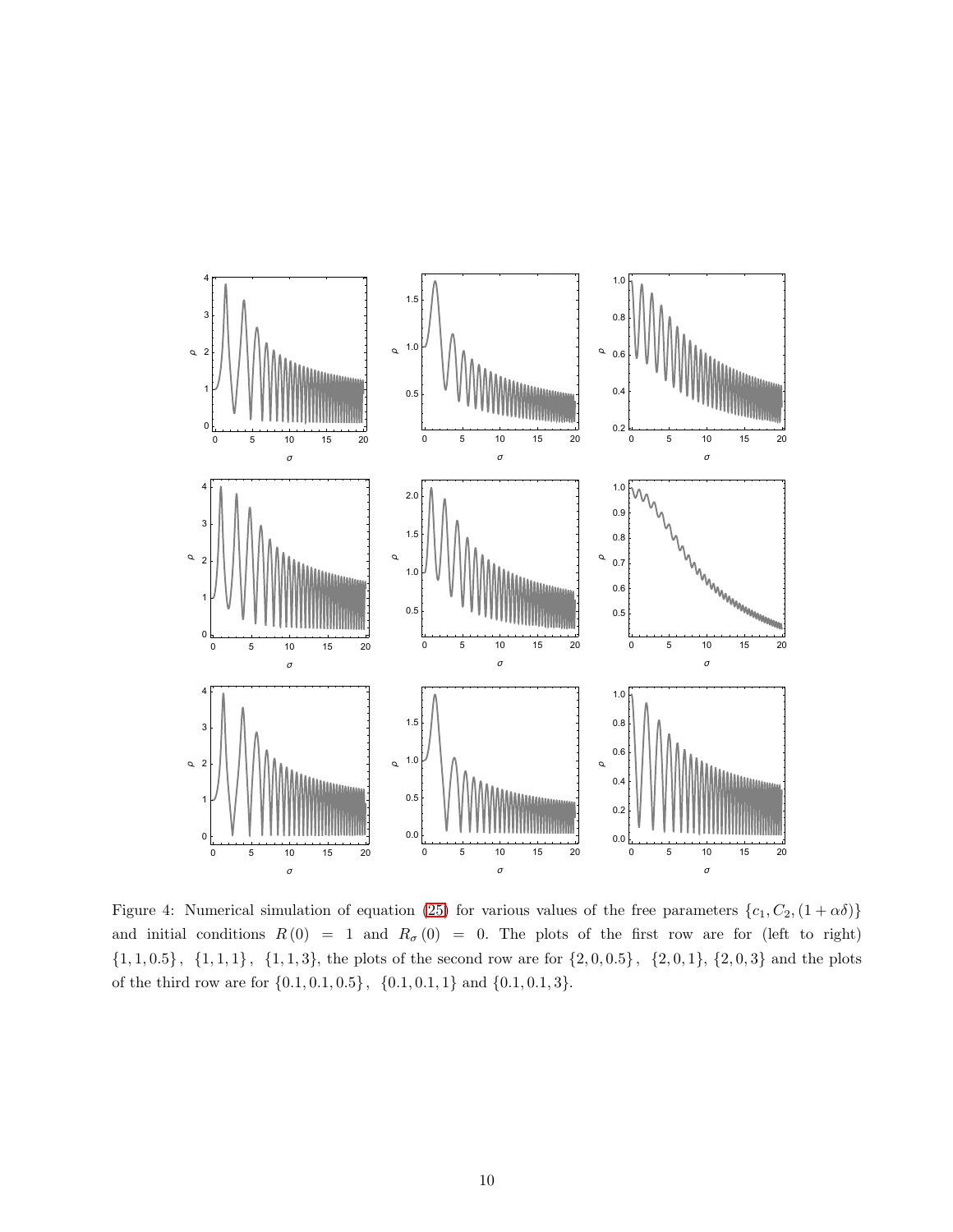

<span id="page-9-0"></span>Figure 4: Numerical simulation of equation [\(25\)](#page-8-2) for various values of the free parameters  $\{c_1, C_2, (1 + \alpha \delta)\}$ and initial conditions  $R(0) = 1$  and  $R_{\sigma}(0) = 0$ . The plots of the first row are for (left to right)  ${1, 1, 0.5}, {1, 1, 1}, {1, 1, 3},$  the plots of the second row are for  ${2, 0, 0.5}, {2, 0, 1}, {2, 0, 3}$  and the plots of the third row are for  $\{0.1, 0.1, 0.5\}$ ,  $\{0.1, 0.1, 1\}$  and  $\{0.1, 0.1, 3\}$ .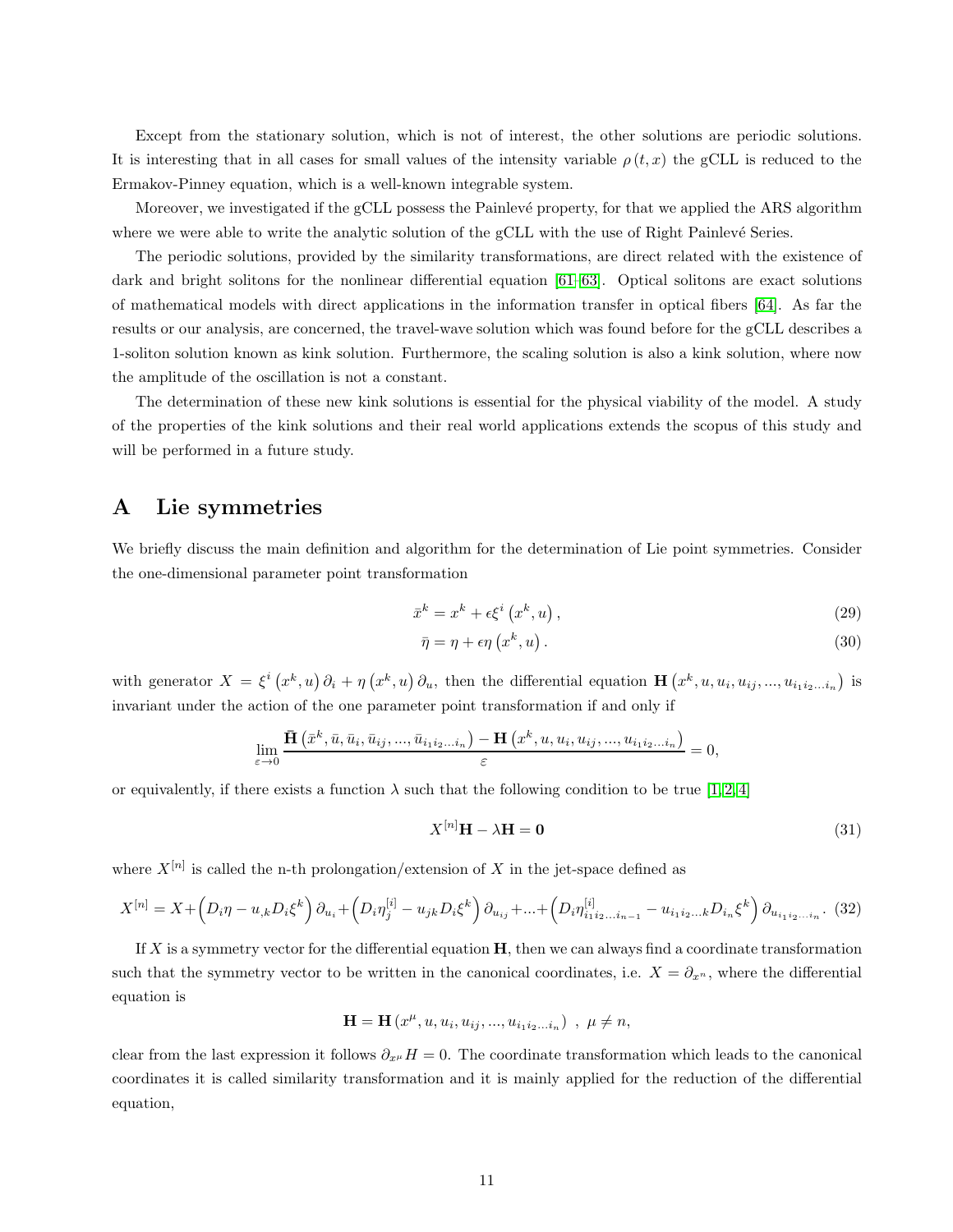Except from the stationary solution, which is not of interest, the other solutions are periodic solutions. It is interesting that in all cases for small values of the intensity variable  $\rho(t, x)$  the gCLL is reduced to the Ermakov-Pinney equation, which is a well-known integrable system.

Moreover, we investigated if the gCLL possess the Painlevé property, for that we applied the ARS algorithm where we were able to write the analytic solution of the gCLL with the use of Right Painlevé Series.

The periodic solutions, provided by the similarity transformations, are direct related with the existence of dark and bright solitons for the nonlinear differential equation [\[61–](#page-14-1)[63\]](#page-14-2). Optical solitons are exact solutions of mathematical models with direct applications in the information transfer in optical fibers [\[64\]](#page-14-3). As far the results or our analysis, are concerned, the travel-wave solution which was found before for the gCLL describes a 1-soliton solution known as kink solution. Furthermore, the scaling solution is also a kink solution, where now the amplitude of the oscillation is not a constant.

The determination of these new kink solutions is essential for the physical viability of the model. A study of the properties of the kink solutions and their real world applications extends the scopus of this study and will be performed in a future study.

# <span id="page-10-0"></span>A Lie symmetries

We briefly discuss the main definition and algorithm for the determination of Lie point symmetries. Consider the one-dimensional parameter point transformation

$$
\bar{x}^k = x^k + \epsilon \xi^i \left( x^k, u \right),\tag{29}
$$

$$
\bar{\eta} = \eta + \epsilon \eta \left( x^k, u \right). \tag{30}
$$

with generator  $X = \xi^i(x^k, u) \partial_i + \eta(x^k, u) \partial_u$ , then the differential equation  $\mathbf{H}(x^k, u, u_i, u_{ij}, ..., u_{i_1 i_2 ... i_n})$  is invariant under the action of the one parameter point transformation if and only if

$$
\lim_{\varepsilon \to 0} \frac{\bar{\mathbf{H}}\left(\bar{x}^k, \bar{u}, \bar{u}_i, \bar{u}_{ij}, \dots, \bar{u}_{i_1 i_2 \dots i_n}\right) - \mathbf{H}\left(x^k, u, u_i, u_{ij}, \dots, u_{i_1 i_2 \dots i_n}\right)}{\varepsilon} = 0,
$$

or equivalently, if there exists a function  $\lambda$  such that the following condition to be true [\[1,](#page-11-0) [2,](#page-11-4) [4\]](#page-11-1)

$$
X^{[n]} \mathbf{H} - \lambda \mathbf{H} = \mathbf{0} \tag{31}
$$

where  $X^{[n]}$  is called the n-th prolongation/extension of X in the jet-space defined as

$$
X^{[n]} = X + \left(D_i \eta - u_{,k} D_i \xi^k\right) \partial_{u_i} + \left(D_i \eta_j^{[i]} - u_{jk} D_i \xi^k\right) \partial_{u_{ij}} + \dots + \left(D_i \eta_{i_1 i_2 \dots i_{n-1}}^{[i]} - u_{i_1 i_2 \dots k} D_{i_n} \xi^k\right) \partial_{u_{i_1 i_2 \dots i_n}}. (32)
$$

If X is a symmetry vector for the differential equation  $H$ , then we can always find a coordinate transformation such that the symmetry vector to be written in the canonical coordinates, i.e.  $X = \partial_{x^n}$ , where the differential equation is

$$
\mathbf{H} = \mathbf{H}\left(x^{\mu}, u, u_{i}, u_{ij}, ..., u_{i_{1}i_{2}...i_{n}}\right) , \ \mu \neq n,
$$

clear from the last expression it follows  $\partial_{x^{\mu}} H = 0$ . The coordinate transformation which leads to the canonical coordinates it is called similarity transformation and it is mainly applied for the reduction of the differential equation,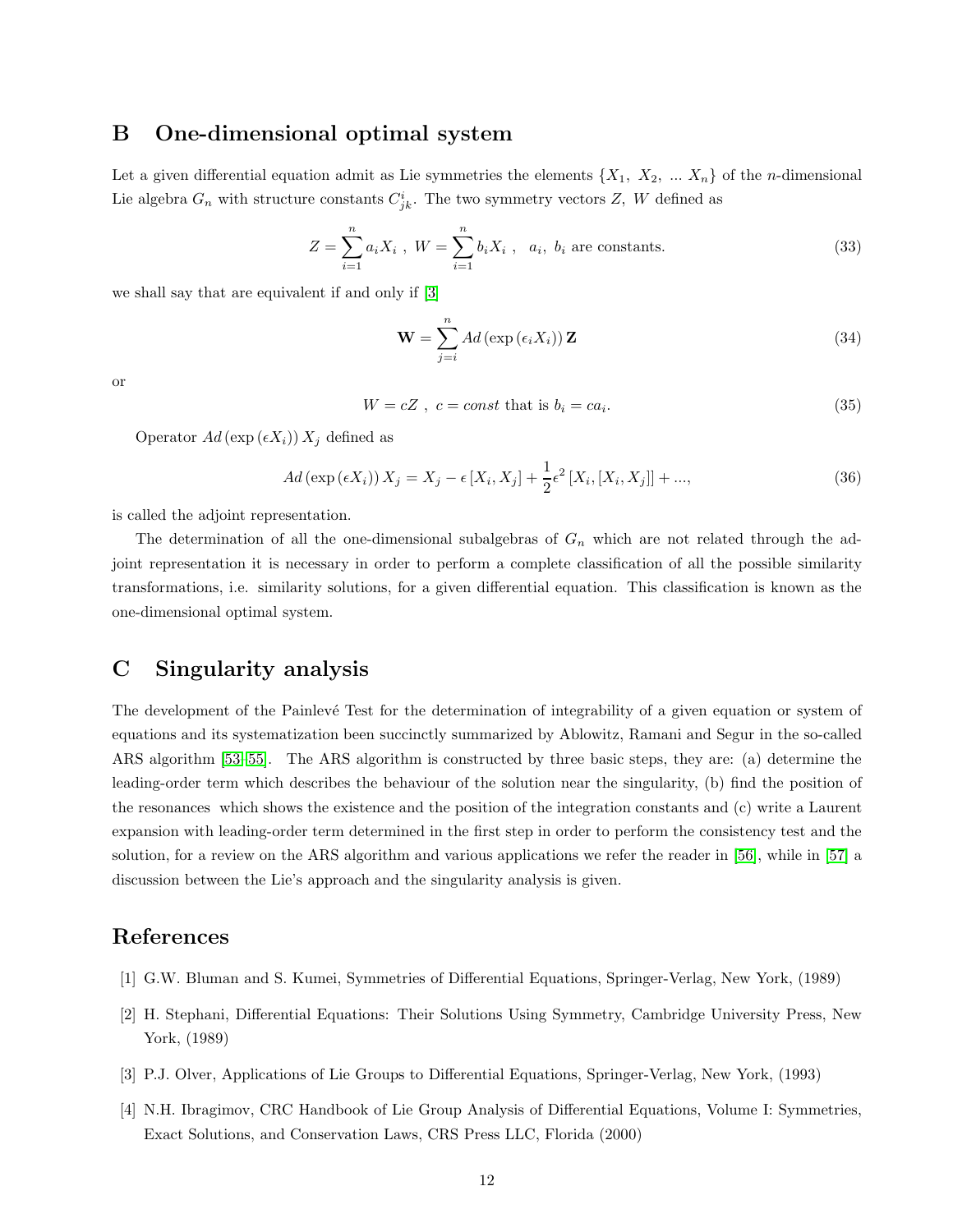## <span id="page-11-2"></span>B One-dimensional optimal system

Let a given differential equation admit as Lie symmetries the elements  $\{X_1, X_2, \ldots X_n\}$  of the *n*-dimensional Lie algebra  $G_n$  with structure constants  $C^i_{jk}$ . The two symmetry vectors Z, W defined as

$$
Z = \sum_{i=1}^{n} a_i X_i, \ W = \sum_{i=1}^{n} b_i X_i, \ a_i, \ b_i \text{ are constants.}
$$
 (33)

we shall say that are equivalent if and only if [\[3\]](#page-11-5)

$$
\mathbf{W} = \sum_{j=i}^{n} Ad\left(\exp\left(\epsilon_{i} X_{i}\right)\right) \mathbf{Z}
$$
\n(34)

or

$$
W = cZ, \ c = const \text{ that is } b_i = ca_i. \tag{35}
$$

Operator  $Ad$  (exp  $(\epsilon X_i)$ )  $X_i$  defined as

$$
Ad\left(\exp\left(\epsilon X_i\right)\right)X_j = X_j - \epsilon \left[X_i, X_j\right] + \frac{1}{2}\epsilon^2 \left[X_i, \left[X_i, X_j\right]\right] + \dots,\tag{36}
$$

is called the adjoint representation.

The determination of all the one-dimensional subalgebras of  $G_n$  which are not related through the adjoint representation it is necessary in order to perform a complete classification of all the possible similarity transformations, i.e. similarity solutions, for a given differential equation. This classification is known as the one-dimensional optimal system.

# <span id="page-11-3"></span>C Singularity analysis

The development of the Painlevé Test for the determination of integrability of a given equation or system of equations and its systematization been succinctly summarized by Ablowitz, Ramani and Segur in the so-called ARS algorithm [\[53](#page-13-15)[–55\]](#page-13-16). The ARS algorithm is constructed by three basic steps, they are: (a) determine the leading-order term which describes the behaviour of the solution near the singularity, (b) find the position of the resonances which shows the existence and the position of the integration constants and (c) write a Laurent expansion with leading-order term determined in the first step in order to perform the consistency test and the solution, for a review on the ARS algorithm and various applications we refer the reader in [\[56\]](#page-13-17), while in [\[57\]](#page-13-18) a discussion between the Lie's approach and the singularity analysis is given.

# <span id="page-11-0"></span>References

- <span id="page-11-4"></span>[1] G.W. Bluman and S. Kumei, Symmetries of Differential Equations, Springer-Verlag, New York, (1989)
- <span id="page-11-5"></span>[2] H. Stephani, Differential Equations: Their Solutions Using Symmetry, Cambridge University Press, New York, (1989)
- <span id="page-11-1"></span>[3] P.J. Olver, Applications of Lie Groups to Differential Equations, Springer-Verlag, New York, (1993)
- [4] N.H. Ibragimov, CRC Handbook of Lie Group Analysis of Differential Equations, Volume I: Symmetries, Exact Solutions, and Conservation Laws, CRS Press LLC, Florida (2000)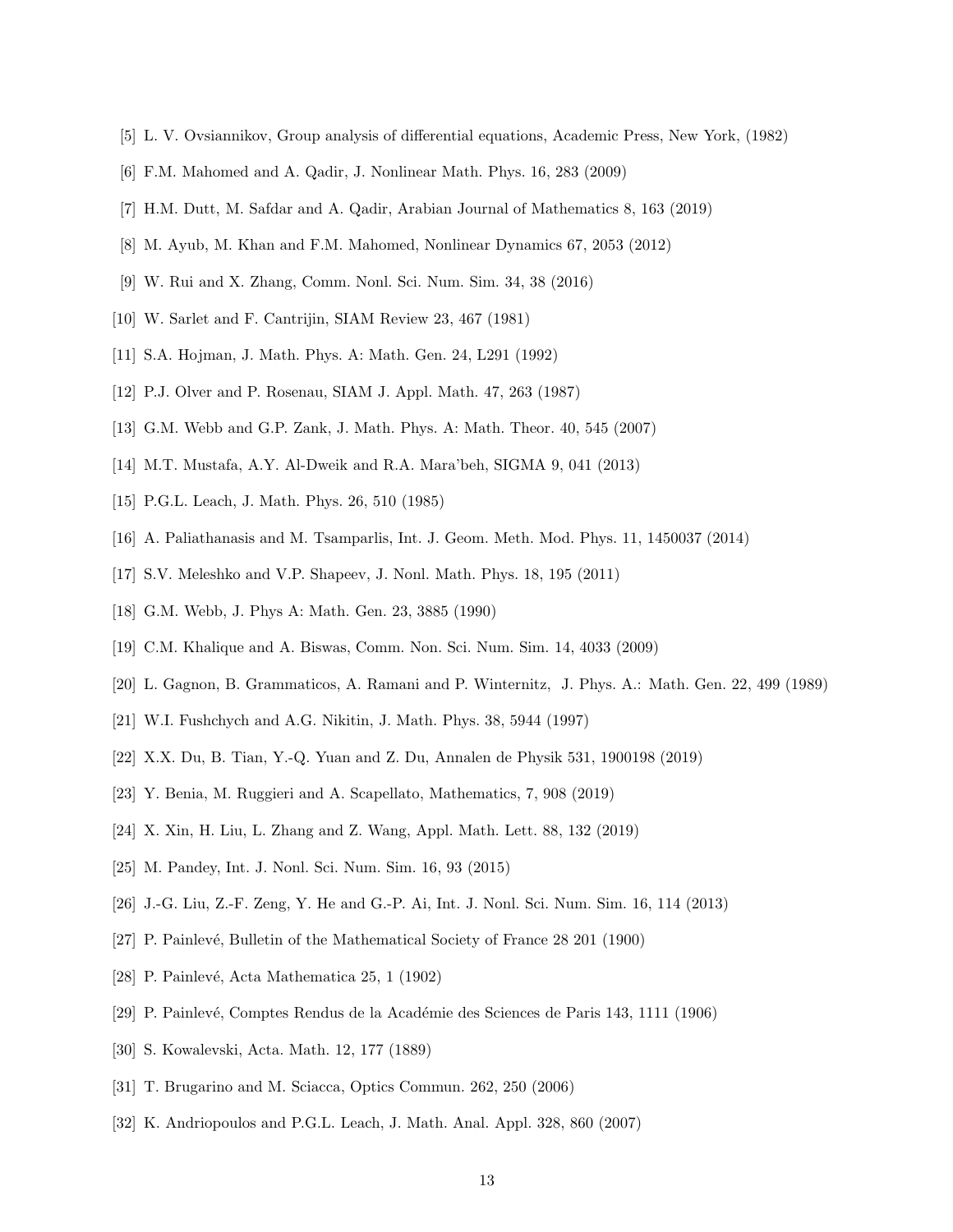- <span id="page-12-1"></span><span id="page-12-0"></span>[5] L. V. Ovsiannikov, Group analysis of differential equations, Academic Press, New York, (1982)
- [6] F.M. Mahomed and A. Qadir, J. Nonlinear Math. Phys. 16, 283 (2009)
- <span id="page-12-2"></span>[7] H.M. Dutt, M. Safdar and A. Qadir, Arabian Journal of Mathematics 8, 163 (2019)
- <span id="page-12-3"></span>[8] M. Ayub, M. Khan and F.M. Mahomed, Nonlinear Dynamics 67, 2053 (2012)
- [9] W. Rui and X. Zhang, Comm. Nonl. Sci. Num. Sim. 34, 38 (2016)
- <span id="page-12-4"></span>[10] W. Sarlet and F. Cantrijin, SIAM Review 23, 467 (1981)
- <span id="page-12-5"></span>[11] S.A. Hojman, J. Math. Phys. A: Math. Gen. 24, L291 (1992)
- <span id="page-12-6"></span>[12] P.J. Olver and P. Rosenau, SIAM J. Appl. Math. 47, 263 (1987)
- [13] G.M. Webb and G.P. Zank, J. Math. Phys. A: Math. Theor. 40, 545 (2007)
- [14] M.T. Mustafa, A.Y. Al-Dweik and R.A. Mara'beh, SIGMA 9, 041 (2013)
- [15] P.G.L. Leach, J. Math. Phys. 26, 510 (1985)
- [16] A. Paliathanasis and M. Tsamparlis, Int. J. Geom. Meth. Mod. Phys. 11, 1450037 (2014)
- [17] S.V. Meleshko and V.P. Shapeev, J. Nonl. Math. Phys. 18, 195 (2011)
- [18] G.M. Webb, J. Phys A: Math. Gen. 23, 3885 (1990)
- [19] C.M. Khalique and A. Biswas, Comm. Non. Sci. Num. Sim. 14, 4033 (2009)
- [20] L. Gagnon, B. Grammaticos, A. Ramani and P. Winternitz, J. Phys. A.: Math. Gen. 22, 499 (1989)
- [21] W.I. Fushchych and A.G. Nikitin, J. Math. Phys. 38, 5944 (1997)
- [22] X.X. Du, B. Tian, Y.-Q. Yuan and Z. Du, Annalen de Physik 531, 1900198 (2019)
- [23] Y. Benia, M. Ruggieri and A. Scapellato, Mathematics, 7, 908 (2019)
- [24] X. Xin, H. Liu, L. Zhang and Z. Wang, Appl. Math. Lett. 88, 132 (2019)
- <span id="page-12-7"></span>[25] M. Pandey, Int. J. Nonl. Sci. Num. Sim. 16, 93 (2015)
- <span id="page-12-8"></span>[26] J.-G. Liu, Z.-F. Zeng, Y. He and G.-P. Ai, Int. J. Nonl. Sci. Num. Sim. 16, 114 (2013)
- [27] P. Painlevé, Bulletin of the Mathematical Society of France 28 201 (1900)
- <span id="page-12-9"></span>[28] P. Painlevé, Acta Mathematica 25, 1 (1902)
- <span id="page-12-10"></span>[29] P. Painlev´e, Comptes Rendus de la Acad´emie des Sciences de Paris 143, 1111 (1906)
- <span id="page-12-11"></span>[30] S. Kowalevski, Acta. Math. 12, 177 (1889)
- [31] T. Brugarino and M. Sciacca, Optics Commun. 262, 250 (2006)
- [32] K. Andriopoulos and P.G.L. Leach, J. Math. Anal. Appl. 328, 860 (2007)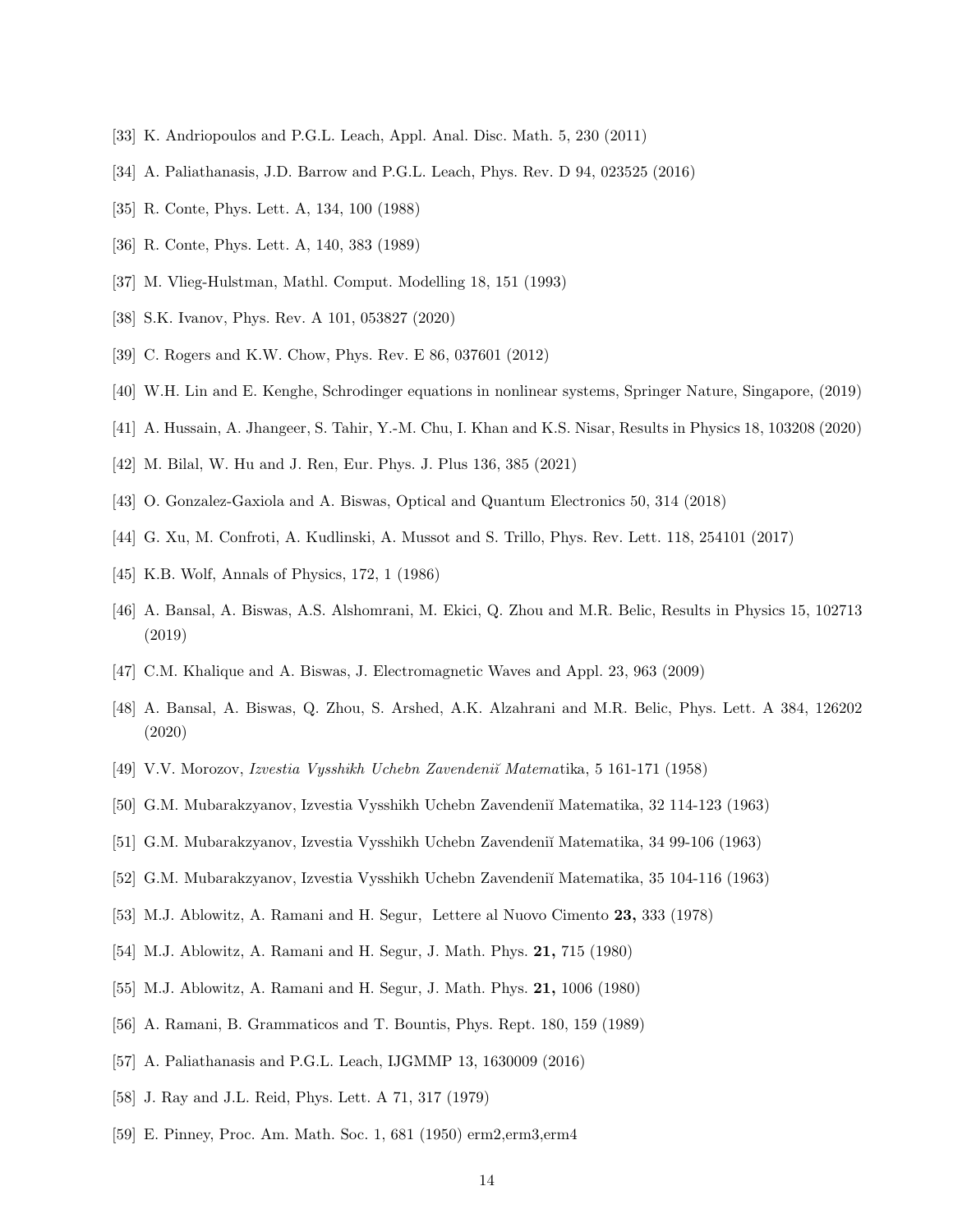- <span id="page-13-0"></span>[33] K. Andriopoulos and P.G.L. Leach, Appl. Anal. Disc. Math. 5, 230 (2011)
- <span id="page-13-1"></span>[34] A. Paliathanasis, J.D. Barrow and P.G.L. Leach, Phys. Rev. D 94, 023525 (2016)
- [35] R. Conte, Phys. Lett. A, 134, 100 (1988)
- <span id="page-13-2"></span>[36] R. Conte, Phys. Lett. A, 140, 383 (1989)
- <span id="page-13-3"></span>[37] M. Vlieg-Hulstman, Mathl. Comput. Modelling 18, 151 (1993)
- <span id="page-13-4"></span>[38] S.K. Ivanov, Phys. Rev. A 101, 053827 (2020)
- <span id="page-13-5"></span>[39] C. Rogers and K.W. Chow, Phys. Rev. E 86, 037601 (2012)
- <span id="page-13-6"></span>[40] W.H. Lin and E. Kenghe, Schrodinger equations in nonlinear systems, Springer Nature, Singapore, (2019)
- [41] A. Hussain, A. Jhangeer, S. Tahir, Y.-M. Chu, I. Khan and K.S. Nisar, Results in Physics 18, 103208 (2020)
- <span id="page-13-7"></span>[42] M. Bilal, W. Hu and J. Ren, Eur. Phys. J. Plus 136, 385 (2021)
- <span id="page-13-8"></span>[43] O. Gonzalez-Gaxiola and A. Biswas, Optical and Quantum Electronics 50, 314 (2018)
- <span id="page-13-9"></span>[44] G. Xu, M. Confroti, A. Kudlinski, A. Mussot and S. Trillo, Phys. Rev. Lett. 118, 254101 (2017)
- [45] K.B. Wolf, Annals of Physics, 172, 1 (1986)
- <span id="page-13-10"></span>[46] A. Bansal, A. Biswas, A.S. Alshomrani, M. Ekici, Q. Zhou and M.R. Belic, Results in Physics 15, 102713 (2019)
- <span id="page-13-11"></span>[47] C.M. Khalique and A. Biswas, J. Electromagnetic Waves and Appl. 23, 963 (2009)
- <span id="page-13-12"></span>[48] A. Bansal, A. Biswas, Q. Zhou, S. Arshed, A.K. Alzahrani and M.R. Belic, Phys. Lett. A 384, 126202 (2020)
- [49] V.V. Morozov, Izvestia Vysshikh Uchebn Zavendeni˘ı Matematika, 5 161-171 (1958)
- [50] G.M. Mubarakzyanov, Izvestia Vysshikh Uchebn Zavendeni˘ı Matematika, 32 114-123 (1963)
- <span id="page-13-13"></span>[51] G.M. Mubarakzyanov, Izvestia Vysshikh Uchebn Zavendeni˘ı Matematika, 34 99-106 (1963)
- <span id="page-13-15"></span>[52] G.M. Mubarakzyanov, Izvestia Vysshikh Uchebn Zavendeni˘ı Matematika, 35 104-116 (1963)
- [53] M.J. Ablowitz, A. Ramani and H. Segur, Lettere al Nuovo Cimento 23, 333 (1978)
- <span id="page-13-16"></span>[54] M.J. Ablowitz, A. Ramani and H. Segur, J. Math. Phys. 21, 715 (1980)
- <span id="page-13-17"></span>[55] M.J. Ablowitz, A. Ramani and H. Segur, J. Math. Phys. 21, 1006 (1980)
- <span id="page-13-18"></span>[56] A. Ramani, B. Grammaticos and T. Bountis, Phys. Rept. 180, 159 (1989)
- <span id="page-13-14"></span>[57] A. Paliathanasis and P.G.L. Leach, IJGMMP 13, 1630009 (2016)
- [58] J. Ray and J.L. Reid, Phys. Lett. A 71, 317 (1979)
- [59] E. Pinney, Proc. Am. Math. Soc. 1, 681 (1950) erm2,erm3,erm4